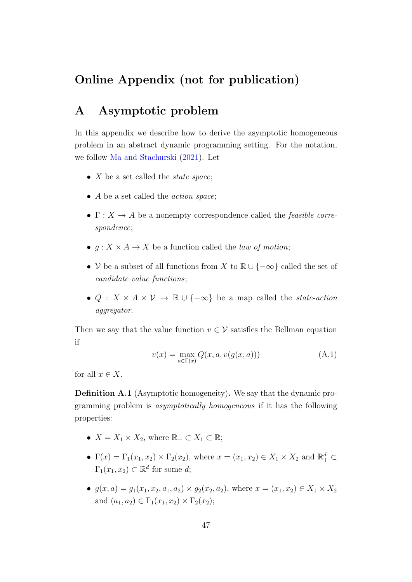## Online Appendix (not for publication)

# A Asymptotic problem

In this appendix we describe how to derive the asymptotic homogeneous problem in an abstract dynamic programming setting. For the notation, we follow [Ma and Stachurski](#page--1-0) [\(2021\)](#page--1-0). Let

- $X$  be a set called the *state space*;
- A be a set called the *action space*;
- $\Gamma: X \rightarrow A$  be a nonempty correspondence called the *feasible corre*spondence;
- $q: X \times A \rightarrow X$  be a function called the *law of motion*;
- V be a subset of all functions from X to  $\mathbb{R} \cup \{-\infty\}$  called the set of candidate value functions;
- Q :  $X \times A \times V \rightarrow \mathbb{R} \cup \{-\infty\}$  be a map called the *state-action* aggregator.

Then we say that the value function  $v \in V$  satisfies the Bellman equation if

<span id="page-0-0"></span>
$$
v(x) = \max_{a \in \Gamma(x)} Q(x, a, v(g(x, a)))
$$
 (A.1)

for all  $x \in X$ .

Definition A.1 (Asymptotic homogeneity). We say that the dynamic programming problem is asymptotically homogeneous if it has the following properties:

- $X = X_1 \times X_2$ , where  $\mathbb{R}_+ \subset X_1 \subset \mathbb{R}$ ;
- $\Gamma(x) = \Gamma_1(x_1, x_2) \times \Gamma_2(x_2)$ , where  $x = (x_1, x_2) \in X_1 \times X_2$  and  $\mathbb{R}^d_+ \subset$  $\Gamma_1(x_1, x_2) \subset \mathbb{R}^d$  for some d;
- $g(x, a) = g_1(x_1, x_2, a_1, a_2) \times g_2(x_2, a_2)$ , where  $x = (x_1, x_2) \in X_1 \times X_2$ and  $(a_1, a_2) \in \Gamma_1(x_1, x_2) \times \Gamma_2(x_2);$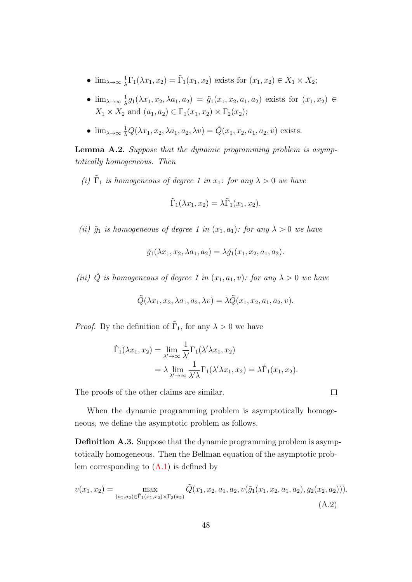- $\lim_{\lambda \to \infty} \frac{1}{\lambda}$  $\frac{1}{\lambda}\Gamma_1(\lambda x_1, x_2) = \tilde{\Gamma}_1(x_1, x_2)$  exists for  $(x_1, x_2) \in X_1 \times X_2$ ;
- $\lim_{\lambda \to \infty} \frac{1}{\lambda}$  $\frac{1}{\lambda}g_1(\lambda x_1, x_2, \lambda a_1, a_2) = \tilde{g}_1(x_1, x_2, a_1, a_2)$  exists for  $(x_1, x_2) \in$  $X_1 \times X_2$  and  $(a_1, a_2) \in \Gamma_1(x_1, x_2) \times \Gamma_2(x_2);$
- $\lim_{\lambda \to \infty} \frac{1}{\lambda} Q(\lambda x_1, x_2, \lambda a_1, a_2, \lambda v) = \tilde{Q}(x_1, x_2, a_1, a_2, v)$  exists.

<span id="page-1-1"></span>Lemma A.2. Suppose that the dynamic programming problem is asymptotically homogeneous. Then

(i)  $\tilde{\Gamma}_1$  is homogeneous of degree 1 in  $x_1$ : for any  $\lambda > 0$  we have

$$
\tilde{\Gamma}_1(\lambda x_1, x_2) = \lambda \tilde{\Gamma}_1(x_1, x_2).
$$

(ii)  $\tilde{g}_1$  is homogeneous of degree 1 in  $(x_1, a_1)$ : for any  $\lambda > 0$  we have

$$
\tilde{g}_1(\lambda x_1, x_2, \lambda a_1, a_2) = \lambda \tilde{g}_1(x_1, x_2, a_1, a_2).
$$

(iii)  $\tilde{Q}$  is homogeneous of degree 1 in  $(x_1, a_1, v)$ : for any  $\lambda > 0$  we have

$$
\tilde{Q}(\lambda x_1, x_2, \lambda a_1, a_2, \lambda v) = \lambda \tilde{Q}(x_1, x_2, a_1, a_2, v).
$$

*Proof.* By the definition of  $\tilde{\Gamma}_1$ , for any  $\lambda > 0$  we have

$$
\tilde{\Gamma}_1(\lambda x_1, x_2) = \lim_{\lambda' \to \infty} \frac{1}{\lambda'} \Gamma_1(\lambda' \lambda x_1, x_2)
$$
  
=  $\lambda \lim_{\lambda' \to \infty} \frac{1}{\lambda' \lambda} \Gamma_1(\lambda' \lambda x_1, x_2) = \lambda \tilde{\Gamma}_1(x_1, x_2).$ 

The proofs of the other claims are similar.

When the dynamic programming problem is asymptotically homogeneous, we define the asymptotic problem as follows.

Definition A.3. Suppose that the dynamic programming problem is asymptotically homogeneous. Then the Bellman equation of the asymptotic problem corresponding to  $(A.1)$  is defined by

<span id="page-1-0"></span>
$$
v(x_1, x_2) = \max_{(a_1, a_2) \in \tilde{\Gamma}_1(x_1, x_2) \times \Gamma_2(x_2)} \tilde{Q}(x_1, x_2, a_1, a_2, v(\tilde{g}_1(x_1, x_2, a_1, a_2), g_2(x_2, a_2))).
$$
\n(A.2)

 $\Box$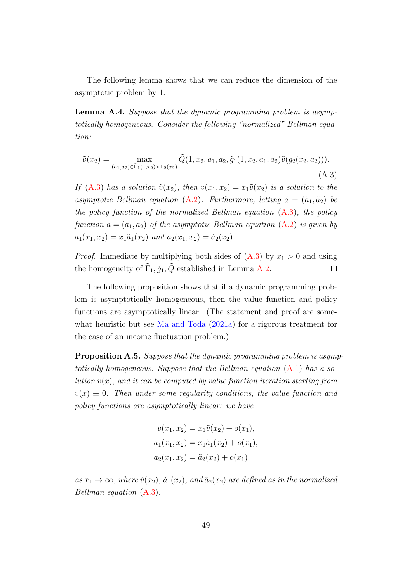The following lemma shows that we can reduce the dimension of the asymptotic problem by 1.

<span id="page-2-1"></span>Lemma A.4. Suppose that the dynamic programming problem is asymptotically homogeneous. Consider the following "normalized" Bellman equation:

<span id="page-2-0"></span>
$$
\tilde{v}(x_2) = \max_{(a_1, a_2) \in \tilde{\Gamma}_1(1, x_2) \times \Gamma_2(x_2)} \tilde{Q}(1, x_2, a_1, a_2, \tilde{g}_1(1, x_2, a_1, a_2) \tilde{v}(g_2(x_2, a_2))).
$$
\n(A.3)

If [\(A.3\)](#page-2-0) has a solution  $\tilde{v}(x_2)$ , then  $v(x_1, x_2) = x_1\tilde{v}(x_2)$  is a solution to the asymptotic Bellman equation [\(A.2\)](#page-1-0). Furthermore, letting  $\tilde{a} = (\tilde{a}_1, \tilde{a}_2)$  be the policy function of the normalized Bellman equation [\(A.3\)](#page-2-0), the policy function  $a = (a_1, a_2)$  of the asymptotic Bellman equation  $(A.2)$  is given by  $a_1(x_1, x_2) = x_1 \tilde{a}_1(x_2)$  and  $a_2(x_1, x_2) = \tilde{a}_2(x_2)$ .

*Proof.* Immediate by multiplying both sides of  $(A.3)$  by  $x_1 > 0$  and using the homogeneity of  $\tilde{\Gamma}_1, \tilde{g}_1, \tilde{Q}$  established in Lemma [A.2.](#page-1-1)  $\Box$ 

The following proposition shows that if a dynamic programming problem is asymptotically homogeneous, then the value function and policy functions are asymptotically linear. (The statement and proof are somewhat heuristic but see [Ma and Toda](#page--1-1) [\(2021a\)](#page--1-1) for a rigorous treatment for the case of an income fluctuation problem.)

Proposition A.5. Suppose that the dynamic programming problem is asymptotically homogeneous. Suppose that the Bellman equation  $(A.1)$  has a solution  $v(x)$ , and it can be computed by value function iteration starting from  $v(x) \equiv 0$ . Then under some regularity conditions, the value function and policy functions are asymptotically linear: we have

$$
v(x_1, x_2) = x_1 \tilde{v}(x_2) + o(x_1),
$$
  
\n
$$
a_1(x_1, x_2) = x_1 \tilde{a}_1(x_2) + o(x_1),
$$
  
\n
$$
a_2(x_1, x_2) = \tilde{a}_2(x_2) + o(x_1)
$$

as  $x_1 \to \infty$ , where  $\tilde{v}(x_2)$ ,  $\tilde{a}_1(x_2)$ , and  $\tilde{a}_2(x_2)$  are defined as in the normalized Bellman equation [\(A.3\)](#page-2-0).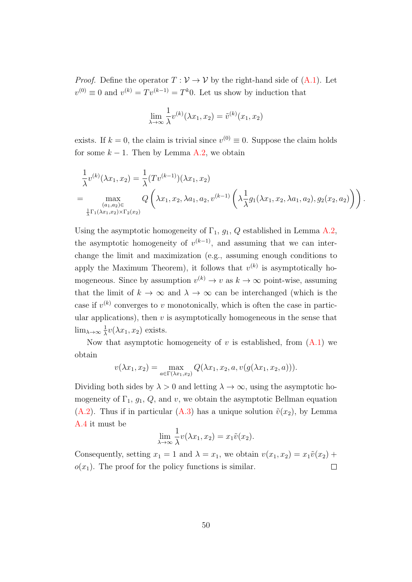*Proof.* Define the operator  $T : V \to V$  by the right-hand side of  $(A.1)$ . Let  $v^{(0)} \equiv 0$  and  $v^{(k)} = Tv^{(k-1)} = T^k 0$ . Let us show by induction that

$$
\lim_{\lambda \to \infty} \frac{1}{\lambda} v^{(k)}(\lambda x_1, x_2) = \tilde{v}^{(k)}(x_1, x_2)
$$

exists. If  $k = 0$ , the claim is trivial since  $v^{(0)} \equiv 0$ . Suppose the claim holds for some  $k - 1$ . Then by Lemma [A.2,](#page-1-1) we obtain

$$
\frac{1}{\lambda}v^{(k)}(\lambda x_1, x_2) = \frac{1}{\lambda}(Tv^{(k-1)})(\lambda x_1, x_2)
$$
\n
$$
= \max_{\substack{(a_1, a_2) \in \\ \frac{1}{\lambda}\Gamma_1(\lambda x_1, x_2) \times \Gamma_2(x_2)}} Q\left(\lambda x_1, x_2, \lambda a_1, a_2, v^{(k-1)}\left(\lambda \frac{1}{\lambda}g_1(\lambda x_1, x_2, \lambda a_1, a_2), g_2(x_2, a_2)\right)\right).
$$

Using the asymptotic homogeneity of  $\Gamma_1$ ,  $g_1$ ,  $Q$  established in Lemma [A.2,](#page-1-1) the asymptotic homogeneity of  $v^{(k-1)}$ , and assuming that we can interchange the limit and maximization (e.g., assuming enough conditions to apply the Maximum Theorem), it follows that  $v^{(k)}$  is asymptotically homogeneous. Since by assumption  $v^{(k)} \to v$  as  $k \to \infty$  point-wise, assuming that the limit of  $k \to \infty$  and  $\lambda \to \infty$  can be interchanged (which is the case if  $v^{(k)}$  converges to v monotonically, which is often the case in particular applications), then  $v$  is asymptotically homogeneous in the sense that  $\lim_{\lambda \to \infty} \frac{1}{\lambda}$  $\frac{1}{\lambda}v(\lambda x_1, x_2)$  exists.

Now that asymptotic homogeneity of v is established, from  $(A.1)$  we obtain

$$
v(\lambda x_1, x_2) = \max_{a \in \Gamma(\lambda x_1, x_2)} Q(\lambda x_1, x_2, a, v(g(\lambda x_1, x_2, a))).
$$

Dividing both sides by  $\lambda > 0$  and letting  $\lambda \to \infty$ , using the asymptotic homogeneity of  $\Gamma_1$ ,  $g_1$ ,  $Q$ , and  $v$ , we obtain the asymptotic Bellman equation [\(A.2\)](#page-1-0). Thus if in particular [\(A.3\)](#page-2-0) has a unique solution  $\tilde{v}(x_2)$ , by Lemma [A.4](#page-2-1) it must be

$$
\lim_{\lambda \to \infty} \frac{1}{\lambda} v(\lambda x_1, x_2) = x_1 \tilde{v}(x_2).
$$

Consequently, setting  $x_1 = 1$  and  $\lambda = x_1$ , we obtain  $v(x_1, x_2) = x_1\tilde{v}(x_2) +$  $o(x_1)$ . The proof for the policy functions is similar.  $\Box$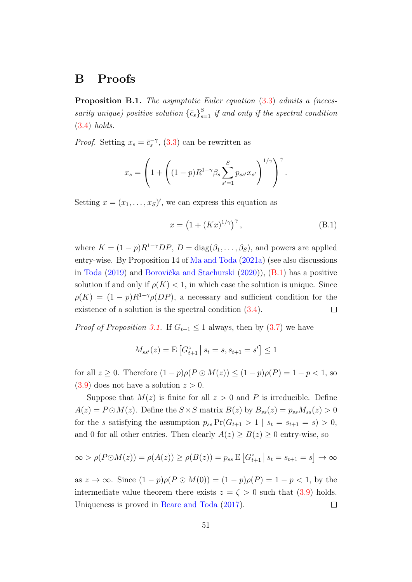## B Proofs

Proposition B.1. The asymptotic Euler equation  $(3.3)$  admits a (necessarily unique) positive solution  $\{\bar{c}_s\}_{s=1}^S$  if and only if the spectral condition [\(3.4\)](#page--1-3) holds.

*Proof.* Setting  $x_s = \bar{c}_s^{-\gamma}$ , [\(3.3\)](#page--1-2) can be rewritten as

$$
x_s = \left(1 + \left( (1-p)R^{1-\gamma} \beta_s \sum_{s'=1}^{S} p_{ss'} x_{s'} \right)^{1/\gamma} \right)^{\gamma}
$$

Setting  $x = (x_1, \ldots, x_S)'$ , we can express this equation as

<span id="page-4-0"></span>
$$
x = \left(1 + (Kx)^{1/\gamma}\right)^{\gamma},\tag{B.1}
$$

.

where  $K = (1 - p)R^{1-\gamma}DP$ ,  $D = \text{diag}(\beta_1, \dots, \beta_S)$ , and powers are applied entry-wise. By Proposition 14 of [Ma and Toda](#page--1-1) [\(2021a\)](#page--1-1) (see also discussions in [Toda](#page--1-4) [\(2019\)](#page--1-4) and Borovička and Stachurski  $(2020)$ ,  $(B.1)$  has a positive solution if and only if  $\rho(K) < 1$ , in which case the solution is unique. Since  $\rho(K) = (1-p)R^{1-\gamma}\rho(DP)$ , a necessary and sufficient condition for the existence of a solution is the spectral condition [\(3.4\)](#page--1-3).  $\Box$ 

*Proof of Proposition [3.1.](#page--1-6)* If  $G_{t+1} \leq 1$  always, then by [\(3.7\)](#page--1-7) we have

$$
M_{ss'}(z) = \mathbf{E}\left[G_{t+1}^z \,|\, s_t = s, s_{t+1} = s'\right] \le 1
$$

for all  $z \geq 0$ . Therefore  $(1-p)\rho(P \odot M(z)) \leq (1-p)\rho(P) = 1-p < 1$ , so  $(3.9)$  does not have a solution  $z > 0$ .

Suppose that  $M(z)$  is finite for all  $z > 0$  and P is irreducible. Define  $A(z) = P \odot M(z)$ . Define the  $S \times S$  matrix  $B(z)$  by  $B_{ss}(z) = p_{ss} M_{ss}(z) > 0$ for the s satisfying the assumption  $p_{ss} \Pr(G_{t+1} > 1 \mid s_t = s_{t+1} = s) > 0$ , and 0 for all other entries. Then clearly  $A(z) \ge B(z) \ge 0$  entry-wise, so

$$
\infty > \rho(P \odot M(z)) = \rho(A(z)) \ge \rho(B(z)) = p_{ss} \mathbb{E}\left[G_{t+1}^z \,|\, s_t = s_{t+1} = s\right] \to \infty
$$

as  $z \to \infty$ . Since  $(1-p)\rho(P \odot M(0)) = (1-p)\rho(P) = 1-p < 1$ , by the intermediate value theorem there exists  $z = \zeta > 0$  such that  $(3.9)$  holds. Uniqueness is proved in [Beare and Toda](#page--1-9) [\(2017\)](#page--1-9).  $\Box$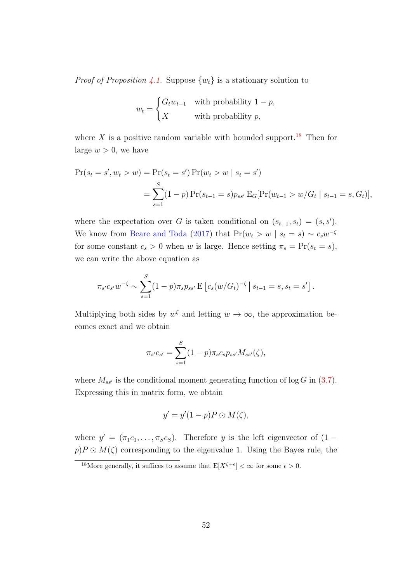*Proof of Proposition [4.1.](#page--1-10)* Suppose  $\{w_t\}$  is a stationary solution to

$$
w_t = \begin{cases} G_t w_{t-1} & \text{with probability } 1 - p, \\ X & \text{with probability } p, \end{cases}
$$

where X is a positive random variable with bounded support.<sup>[18](#page--1-11)</sup> Then for large  $w > 0$ , we have

$$
Pr(s_t = s', w_t > w) = Pr(s_t = s') Pr(w_t > w | s_t = s')
$$
  
= 
$$
\sum_{s=1}^{S} (1-p) Pr(s_{t-1} = s) p_{ss'} E_G[Pr(w_{t-1} > w/G_t | s_{t-1} = s, G_t)],
$$

where the expectation over G is taken conditional on  $(s_{t-1}, s_t) = (s, s')$ . We know from [Beare and Toda](#page--1-9) [\(2017\)](#page--1-9) that  $Pr(w_t > w \mid s_t = s) \sim c_s w^{-\zeta}$ for some constant  $c_s > 0$  when w is large. Hence setting  $\pi_s = \Pr(s_t = s)$ , we can write the above equation as

$$
\pi_{s'c_{s'}}w^{-\zeta} \sim \sum_{s=1}^{S} (1-p)\pi_{s}p_{ss'} \mathbb{E}\left[c_s(w/G_t)^{-\zeta} \,|\, s_{t-1}=s, s_t=s'\right].
$$

Multiplying both sides by  $w^{\zeta}$  and letting  $w \to \infty$ , the approximation becomes exact and we obtain

$$
\pi_{s'}c_{s'} = \sum_{s=1}^{S} (1-p)\pi_s c_s p_{ss'} M_{ss'}(\zeta),
$$

where  $M_{ss'}$  is the conditional moment generating function of log G in [\(3.7\)](#page--1-7). Expressing this in matrix form, we obtain

$$
y' = y'(1 - p)P \odot M(\zeta),
$$

where  $y' = (\pi_1 c_1, \ldots, \pi_S c_S)$ . Therefore y is the left eigenvector of  $(1$  $p$ )  $P \odot M(\zeta)$  corresponding to the eigenvalue 1. Using the Bayes rule, the

<sup>&</sup>lt;sup>18</sup>More generally, it suffices to assume that  $E[X^{\zeta+\epsilon}] < \infty$  for some  $\epsilon > 0$ .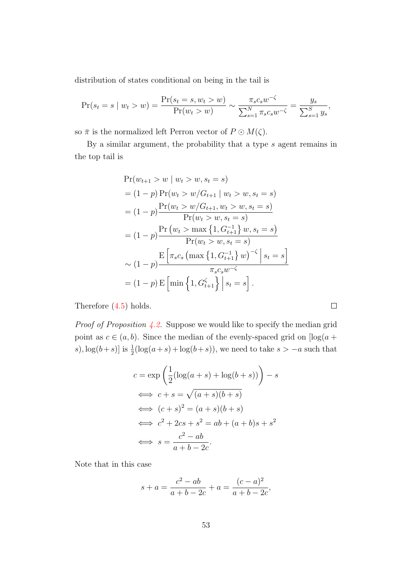distribution of states conditional on being in the tail is

$$
\Pr(s_t = s \mid w_t > w) = \frac{\Pr(s_t = s, w_t > w)}{\Pr(w_t > w)} \sim \frac{\pi_s c_s w^{-\zeta}}{\sum_{s=1}^N \pi_s c_s w^{-\zeta}} = \frac{y_s}{\sum_{s=1}^S y_s},
$$

so  $\bar{\pi}$  is the normalized left Perron vector of  $P \odot M(\zeta)$ .

By a similar argument, the probability that a type  $s$  agent remains in the top tail is

$$
Pr(w_{t+1} > w \mid w_t > w, s_t = s)
$$
  
= (1 - p) 
$$
Pr(w_t > w/G_{t+1} \mid w_t > w, s_t = s)
$$
  
= (1 - p) 
$$
\frac{Pr(w_t > w/G_{t+1}, w_t > w, s_t = s)}{Pr(w_t > w, s_t = s)}
$$
  
= (1 - p) 
$$
\frac{Pr(w_t > \max\{1, G_{t+1}^{-1}\} w, s_t = s)}{Pr(w_t > w, s_t = s)}
$$
  

$$
\sim (1 - p) \frac{E\left[\pi_s c_s \left(\max\{1, G_{t+1}^{-1}\} w\right)^{-\zeta} \mid s_t = s\right]}{\pi_s c_s w^{-\zeta}}
$$
  
= (1 - p) E\left[\min\{1, G\_{t+1}^{\zeta}\} \mid s\_t = s\right].

Therefore [\(4.5\)](#page--1-12) holds.

*Proof of Proposition [4.2.](#page--1-13)* Suppose we would like to specify the median grid point as  $c \in (a, b)$ . Since the median of the evenly-spaced grid on  $\log(a + b)$ s),  $\log(b+s)$  is  $\frac{1}{2}(\log(a+s)+\log(b+s))$ , we need to take  $s > -a$  such that

$$
c = \exp\left(\frac{1}{2}(\log(a+s) + \log(b+s))\right) - s
$$
  
\n
$$
\iff c + s = \sqrt{(a+s)(b+s)}
$$
  
\n
$$
\iff (c+s)^2 = (a+s)(b+s)
$$
  
\n
$$
\iff c^2 + 2cs + s^2 = ab + (a+b)s + s^2
$$
  
\n
$$
\iff s = \frac{c^2 - ab}{a+b-2c}.
$$

Note that in this case

$$
s + a = \frac{c^2 - ab}{a + b - 2c} + a = \frac{(c - a)^2}{a + b - 2c},
$$

 $\Box$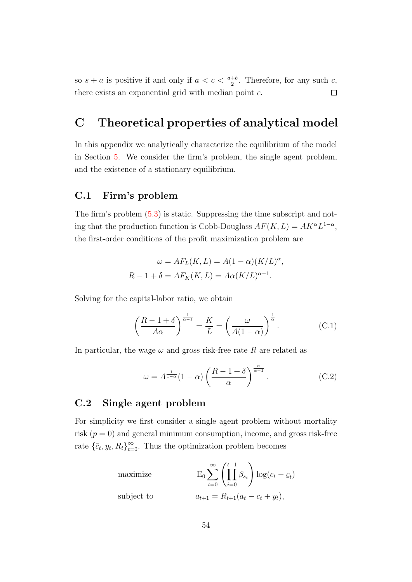so  $s + a$  is positive if and only if  $a < c < \frac{a+b}{2}$ . Therefore, for any such c, there exists an exponential grid with median point c.  $\Box$ 

# C Theoretical properties of analytical model

In this appendix we analytically characterize the equilibrium of the model in Section [5.](#page--1-14) We consider the firm's problem, the single agent problem, and the existence of a stationary equilibrium.

#### C.1 Firm's problem

The firm's problem [\(5.3\)](#page--1-15) is static. Suppressing the time subscript and noting that the production function is Cobb-Douglass  $AF(K, L) = AK^{\alpha}L^{1-\alpha}$ , the first-order conditions of the profit maximization problem are

$$
\omega = AF_L(K, L) = A(1 - \alpha)(K/L)^{\alpha},
$$
  

$$
R - 1 + \delta = AF_K(K, L) = A\alpha(K/L)^{\alpha - 1}.
$$

Solving for the capital-labor ratio, we obtain

<span id="page-7-0"></span>
$$
\left(\frac{R-1+\delta}{A\alpha}\right)^{\frac{1}{\alpha-1}} = \frac{K}{L} = \left(\frac{\omega}{A(1-\alpha)}\right)^{\frac{1}{\alpha}}.\tag{C.1}
$$

In particular, the wage  $\omega$  and gross risk-free rate R are related as

<span id="page-7-1"></span>
$$
\omega = A^{\frac{1}{1-\alpha}}(1-\alpha) \left(\frac{R-1+\delta}{\alpha}\right)^{\frac{\alpha}{\alpha-1}}.
$$
 (C.2)

### C.2 Single agent problem

For simplicity we first consider a single agent problem without mortality risk  $(p = 0)$  and general minimum consumption, income, and gross risk-free rate  $\{\bar{c}_t, y_t, R_t\}_{t=0}^{\infty}$ . Thus the optimization problem becomes

maximize 
$$
E_0 \sum_{t=0}^{\infty} \left( \prod_{i=0}^{t-1} \beta_{s_i} \right) \log(c_t - c_t)
$$
  
subject to 
$$
a_{t+1} = R_{t+1}(a_t - c_t + y_t),
$$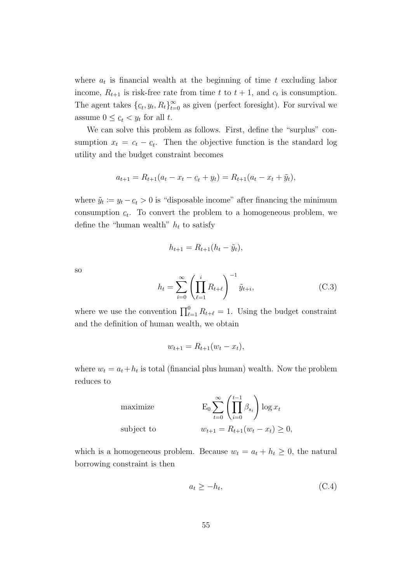where  $a_t$  is financial wealth at the beginning of time t excluding labor income,  $R_{t+1}$  is risk-free rate from time t to  $t+1$ , and  $c_t$  is consumption. The agent takes  $\{c$  $\mathcal{L}_t, y_t, R_t$ <sub> $t=0$ </sub> as given (perfect foresight). For survival we assume  $0 \leq \underline{c}$  $\underline{c}_t < y_t$  for all t.

We can solve this problem as follows. First, define the "surplus" consumption  $x_t = c_t - c_t$ . Then the objective function is the standard log utility and the budget constraint becomes

$$
a_{t+1} = R_{t+1}(a_t - x_t - \underline{c}_t + y_t) = R_{t+1}(a_t - x_t + \tilde{y}_t),
$$

where  $\tilde{y}_t := y_t - \underline{c}_t > 0$  is "disposable income" after financing the minimum consumption  $\mathfrak c$  $c_t$ . To convert the problem to a homogeneous problem, we define the "human wealth"  $h_t$  to satisfy

$$
h_{t+1} = R_{t+1}(h_t - \tilde{y}_t),
$$

so

<span id="page-8-0"></span>
$$
h_t = \sum_{i=0}^{\infty} \left( \prod_{\ell=1}^i R_{t+\ell} \right)^{-1} \tilde{y}_{t+i},\tag{C.3}
$$

where we use the convention  $\prod_{\ell=1}^{0} R_{t+\ell} = 1$ . Using the budget constraint and the definition of human wealth, we obtain

$$
w_{t+1} = R_{t+1}(w_t - x_t),
$$

where  $w_t = a_t + h_t$  is total (financial plus human) wealth. Now the problem reduces to

maximize  
\nsubject to  
\n
$$
E_0 \sum_{t=0}^{\infty} \left( \prod_{i=0}^{t-1} \beta_{s_i} \right) \log x_t
$$
\n
$$
w_{t+1} = R_{t+1}(w_t - x_t) \ge 0,
$$

which is a homogeneous problem. Because  $w_t = a_t + h_t \geq 0$ , the natural borrowing constraint is then

$$
a_t \ge -h_t,\tag{C.4}
$$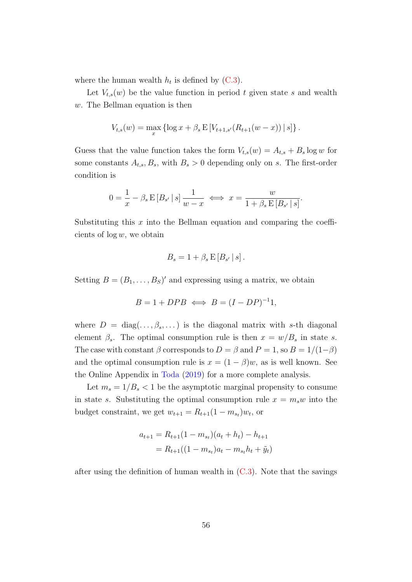where the human wealth  $h_t$  is defined by  $(C.3)$ .

Let  $V_{t,s}(w)$  be the value function in period t given state s and wealth w. The Bellman equation is then

$$
V_{t,s}(w) = \max_x \left\{ \log x + \beta_s \mathbb{E} \left[ V_{t+1,s'}(R_{t+1}(w-x)) \, \middle| \, s \right] \right\}.
$$

Guess that the value function takes the form  $V_{t,s}(w) = A_{t,s} + B_s \log w$  for some constants  $A_{t,s}$ ,  $B_s$ , with  $B_s > 0$  depending only on s. The first-order condition is

$$
0 = \frac{1}{x} - \beta_s \mathop{\to} [B_{s'} \mid s] \frac{1}{w - x} \iff x = \frac{w}{1 + \beta_s \mathop{\to} [B_{s'} \mid s]}.
$$

Substituting this  $x$  into the Bellman equation and comparing the coefficients of  $log w$ , we obtain

$$
B_s = 1 + \beta_s \mathop{\mathrm{E}}\left[ B_{s'} \, | \, s \right].
$$

Setting  $B = (B_1, \ldots, B_S)'$  and expressing using a matrix, we obtain

$$
B = 1 + DPB \iff B = (I - DP)^{-1}1,
$$

where  $D = \text{diag}(\ldots, \beta_s, \ldots)$  is the diagonal matrix with s-th diagonal element  $\beta_s$ . The optimal consumption rule is then  $x = w/B_s$  in state s. The case with constant  $\beta$  corresponds to  $D = \beta$  and  $P = 1$ , so  $B = 1/(1-\beta)$ and the optimal consumption rule is  $x = (1 - \beta)w$ , as is well known. See the Online Appendix in [Toda](#page--1-4) [\(2019\)](#page--1-4) for a more complete analysis.

Let  $m_s = 1/B_s < 1$  be the asymptotic marginal propensity to consume in state s. Substituting the optimal consumption rule  $x = m_s w$  into the budget constraint, we get  $w_{t+1} = R_{t+1}(1 - m_{s_t})w_t$ , or

$$
a_{t+1} = R_{t+1}(1 - m_{s_t})(a_t + h_t) - h_{t+1}
$$
  
=  $R_{t+1}((1 - m_{s_t})a_t - m_{s_t}h_t + \tilde{y}_t)$ 

after using the definition of human wealth in  $(C.3)$ . Note that the savings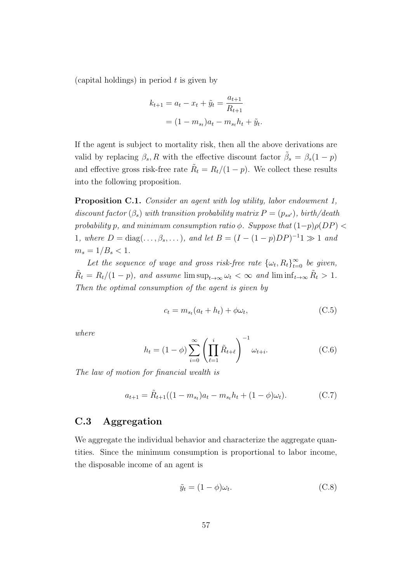(capital holdings) in period  $t$  is given by

$$
k_{t+1} = a_t - x_t + \tilde{y}_t = \frac{a_{t+1}}{R_{t+1}}
$$

$$
= (1 - m_{s_t})a_t - m_{s_t}h_t + \tilde{y}_t.
$$

If the agent is subject to mortality risk, then all the above derivations are valid by replacing  $\beta_s$ , R with the effective discount factor  $\tilde{\beta}_s = \beta_s(1-p)$ and effective gross risk-free rate  $\tilde{R}_t = R_t/(1-p)$ . We collect these results into the following proposition.

<span id="page-10-2"></span>Proposition C.1. Consider an agent with log utility, labor endowment 1, discount factor  $(\beta_s)$  with transition probability matrix  $P = (p_{ss})$ , birth/death probability p, and minimum consumption ratio  $\phi$ . Suppose that  $(1-p)\rho(DP)$ 1, where  $D = \text{diag}(\ldots, \beta_s, \ldots)$ , and let  $B = (I - (1 - p)DP)^{-1}1 \gg 1$  and  $m_s = 1/B_s < 1$ .

Let the sequence of wage and gross risk-free rate  $\{\omega_t, R_t\}_{t=0}^{\infty}$  be given,  $\tilde{R}_t = R_t/(1-p)$ , and assume  $\limsup_{t\to\infty} \omega_t < \infty$  and  $\liminf_{t\to\infty} \tilde{R}_t > 1$ . Then the optimal consumption of the agent is given by

$$
c_t = m_{s_t}(a_t + h_t) + \phi \omega_t, \tag{C.5}
$$

where

<span id="page-10-0"></span>
$$
h_t = (1 - \phi) \sum_{i=0}^{\infty} \left( \prod_{\ell=1}^i \tilde{R}_{t+\ell} \right)^{-1} \omega_{t+i}.
$$
 (C.6)

The law of motion for financial wealth is

<span id="page-10-1"></span>
$$
a_{t+1} = \tilde{R}_{t+1}((1 - m_{s_t})a_t - m_{s_t}h_t + (1 - \phi)\omega_t).
$$
 (C.7)

### C.3 Aggregation

We aggregate the individual behavior and characterize the aggregate quantities. Since the minimum consumption is proportional to labor income, the disposable income of an agent is

$$
\tilde{y}_t = (1 - \phi)\omega_t. \tag{C.8}
$$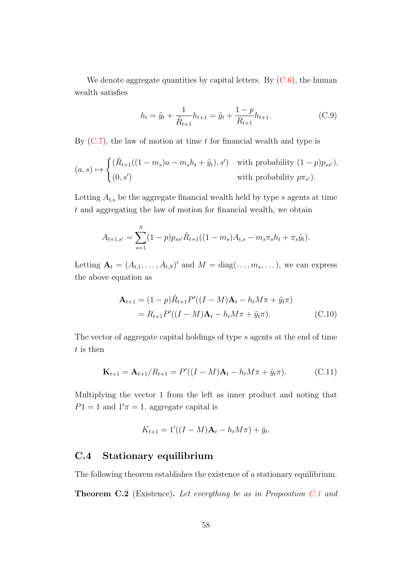We denote aggregate quantities by capital letters. By  $(C.6)$ , the human wealth satisfies

<span id="page-11-0"></span>
$$
h_t = \tilde{y}_t + \frac{1}{\tilde{R}_{t+1}} h_{t+1} = \tilde{y}_t + \frac{1-p}{R_{t+1}} h_{t+1}.
$$
 (C.9)

By  $(C.7)$ , the law of motion at time t for financial wealth and type is

$$
(a, s) \mapsto \begin{cases} (\tilde{R}_{t+1}((1-m_s)a-m_sh_t+\tilde{y}_t), s') & \text{with probability } (1-p)p_{ss'}),\\ (0, s') & \text{with probability } p\pi_{s'}). \end{cases}
$$

Letting  $A_{t,s}$  be the aggregate financial wealth held by type s agents at time t and aggregating the law of motion for financial wealth, we obtain

$$
A_{t+1,s'} = \sum_{s=1}^{S} (1-p) p_{ss'} \tilde{R}_{t+1} ((1-m_s)A_{t,s} - m_s \pi_s h_t + \pi_s \tilde{y}_t).
$$

Letting  $\mathbf{A}_t = (A_{t,1}, \dots, A_{t,S})'$  and  $M = \text{diag}(\dots, m_s, \dots)$ , we can express the above equation as

<span id="page-11-1"></span>
$$
\mathbf{A}_{t+1} = (1-p)\tilde{R}_{t+1}P'((I-M)\mathbf{A}_t - h_t M \pi + \tilde{y}_t \pi)
$$
  
=  $R_{t+1}P'((I-M)\mathbf{A}_t - h_t M \pi + \tilde{y}_t \pi).$  (C.10)

The vector of aggregate capital holdings of type s agents at the end of time  $t$  is then

$$
\mathbf{K}_{t+1} = \mathbf{A}_{t+1}/R_{t+1} = P'((I - M)\mathbf{A}_t - h_t M \pi + \tilde{y}_t \pi). \tag{C.11}
$$

Multiplying the vector 1 from the left as inner product and noting that  $P1 = 1$  and  $1'\pi = 1$ , aggregate capital is

$$
K_{t+1} = 1'((I - M)\mathbf{A}_t - h_t M \pi) + \tilde{y}_t.
$$

#### C.4 Stationary equilibrium

The following theorem establishes the existence of a stationary equilibrium.

**Theorem C.2** (Existence). Let everything be as in Proposition [C.1](#page-10-2) and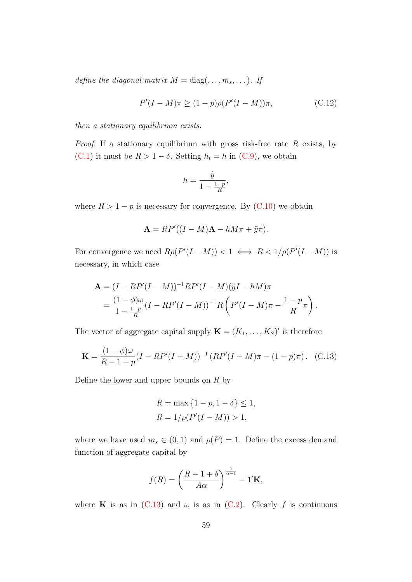define the diagonal matrix  $M = diag(\ldots, m_s, \ldots)$ . If

<span id="page-12-1"></span>
$$
P'(I - M)\pi \ge (1 - p)\rho(P'(I - M))\pi,
$$
\n(C.12)

then a stationary equilibrium exists.

*Proof.* If a stationary equilibrium with gross risk-free rate  $R$  exists, by [\(C.1\)](#page-7-0) it must be  $R > 1 - \delta$ . Setting  $h_t = h$  in [\(C.9\)](#page-11-0), we obtain

$$
h = \frac{\tilde{y}}{1 - \frac{1 - p}{R}},
$$

where  $R > 1 - p$  is necessary for convergence. By [\(C.10\)](#page-11-1) we obtain

$$
\mathbf{A} = RP'((I - M)\mathbf{A} - hM\pi + \tilde{y}\pi).
$$

For convergence we need  $R\rho(P'(I-M)) < 1 \iff R < 1/\rho(P'(I-M))$  is necessary, in which case

$$
\mathbf{A} = (I - RP'(I - M))^{-1}RP'(I - M)(\tilde{y}I - hM)\pi
$$
  
= 
$$
\frac{(1 - \phi)\omega}{1 - \frac{1-p}{R}}(I - RP'(I - M))^{-1}R\left(P'(I - M)\pi - \frac{1-p}{R}\pi\right).
$$

The vector of aggregate capital supply  $\mathbf{K} = (K_1, \ldots, K_S)'$  is therefore

<span id="page-12-0"></span>
$$
\mathbf{K} = \frac{(1 - \phi)\omega}{R - 1 + p}(I - RP'(I - M))^{-1}(RP'(I - M)\pi - (1 - p)\pi). \quad (C.13)
$$

Define the lower and upper bounds on  $R$  by

$$
\underline{R} = \max \{ 1 - p, 1 - \delta \} \le 1,
$$
  

$$
\overline{R} = 1/\rho(P'(I - M)) > 1,
$$

where we have used  $m_s \in (0,1)$  and  $\rho(P) = 1$ . Define the excess demand function of aggregate capital by

$$
f(R) = \left(\frac{R-1+\delta}{A\alpha}\right)^{\frac{1}{\alpha-1}} - 1'\mathbf{K},
$$

where **K** is as in  $(C.13)$  and  $\omega$  is as in  $(C.2)$ . Clearly f is continuous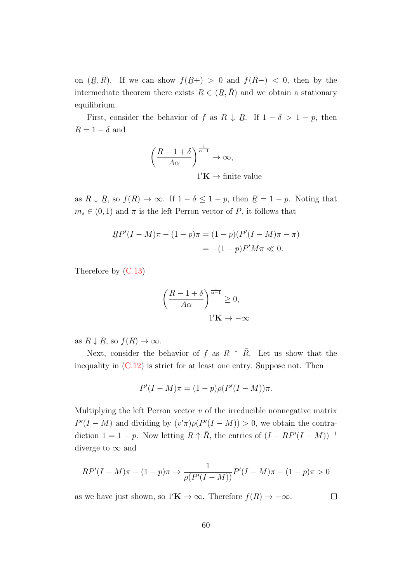on  $(R)$ .<br>أ  $, \bar{R}$ ). If we can show  $f(R)$ ¯  $(+) > 0$  and  $f(\bar{R}-) < 0$ , then by the intermediate theorem there exists  $R \in (R)$ ¯  $(\bar{R})$  and we obtain a stationary equilibrium.

First, consider the behavior of f as  $R \downarrow R$ ¯ . If  $1 - \delta > 1 - p$ , then R ¯  $= 1 - \delta$  and

$$
\left(\frac{R-1+\delta}{A\alpha}\right)^{\frac{1}{\alpha-1}} \to \infty,
$$
  
1'**K**  $\to$  finite value

as  $R \downarrow R$ ¯ , so  $f(R) \to \infty$ . If  $1 - \delta \leq 1 - p$ , then R ¯  $= 1 - p$ . Noting that  $m_s \in (0, 1)$  and  $\pi$  is the left Perron vector of P, it follows that

$$
RP'(I - M)\pi - (1 - p)\pi = (1 - p)(P'(I - M)\pi - \pi)
$$
  
= -(1 - p)P'M\pi \ll 0.

Therefore by [\(C.13\)](#page-12-0)

$$
\left(\frac{R-1+\delta}{A\alpha}\right)^{\frac{1}{\alpha-1}} \ge 0,
$$
  
1'**K**  $\rightarrow -\infty$ 

as  $R \downarrow R$ به<br>∶ , so  $f(R) \to \infty$ .

Next, consider the behavior of f as  $R \uparrow R$ . Let us show that the inequality in  $(C.12)$  is strict for at least one entry. Suppose not. Then

$$
P'(I-M)\pi = (1-p)\rho(P'(I-M))\pi.
$$

Multiplying the left Perron vector  $v$  of the irreducible nonnegative matrix  $P'(I - M)$  and dividing by  $(v'\pi)\rho(P'(I - M)) > 0$ , we obtain the contradiction  $1 = 1 - p$ . Now letting  $R \uparrow \bar{R}$ , the entries of  $(I - RP'(I - M))^{-1}$ diverge to  $\infty$  and

$$
RP'(I - M)\pi - (1 - p)\pi \to \frac{1}{\rho(P'(I - M))}P'(I - M)\pi - (1 - p)\pi > 0
$$

as we have just shown, so  $1'\mathbf{K} \to \infty$ . Therefore  $f(R) \to -\infty$ .

$$
\Box
$$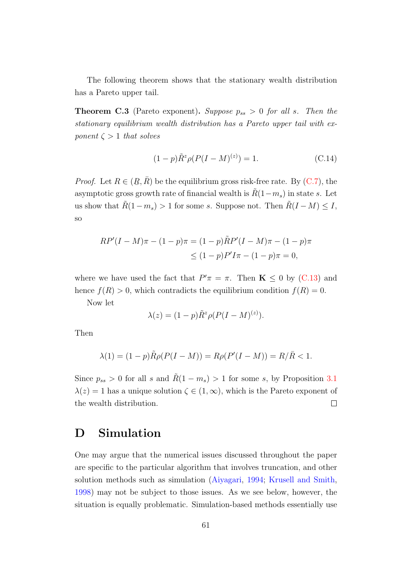The following theorem shows that the stationary wealth distribution has a Pareto upper tail.

**Theorem C.3** (Pareto exponent). Suppose  $p_{ss} > 0$  for all s. Then the stationary equilibrium wealth distribution has a Pareto upper tail with exponent  $\zeta > 1$  that solves

$$
(1 - p)\tilde{R}^{z}\rho(P(I - M)^{(z)}) = 1.
$$
 (C.14)

*Proof.* Let  $R \in (R)$ ب∙<br>أ  $, \bar{R}$ ) be the equilibrium gross risk-free rate. By [\(C.7\)](#page-10-1), the asymptotic gross growth rate of financial wealth is  $R(1-m_s)$  in state s. Let us show that  $\tilde{R}(1-m_s) > 1$  for some s. Suppose not. Then  $\tilde{R}(I-M) \leq I$ , so

$$
RP'(I - M)\pi - (1 - p)\pi = (1 - p)\tilde{R}P'(I - M)\pi - (1 - p)\pi
$$
  
\n
$$
\leq (1 - p)P'I\pi - (1 - p)\pi = 0,
$$

where we have used the fact that  $P' \pi = \pi$ . Then  $\mathbf{K} \leq 0$  by [\(C.13\)](#page-12-0) and hence  $f(R) > 0$ , which contradicts the equilibrium condition  $f(R) = 0$ .

Now let

$$
\lambda(z) = (1 - p)\tilde{R}^z \rho (P(I - M)^{(z)}).
$$

Then

$$
\lambda(1) = (1 - p)\tilde{R}\rho(P(I - M)) = R\rho(P'(I - M)) = R/\bar{R} < 1.
$$

Since  $p_{ss} > 0$  for all s and  $\tilde{R}(1 - m_s) > 1$  for some s, by Proposition [3.1](#page--1-6)  $\lambda(z) = 1$  has a unique solution  $\zeta \in (1, \infty)$ , which is the Pareto exponent of the wealth distribution.  $\Box$ 

### D Simulation

One may argue that the numerical issues discussed throughout the paper are specific to the particular algorithm that involves truncation, and other solution methods such as simulation [\(Aiyagari,](#page--1-16) [1994;](#page--1-16) [Krusell and Smith,](#page--1-17) [1998\)](#page--1-17) may not be subject to those issues. As we see below, however, the situation is equally problematic. Simulation-based methods essentially use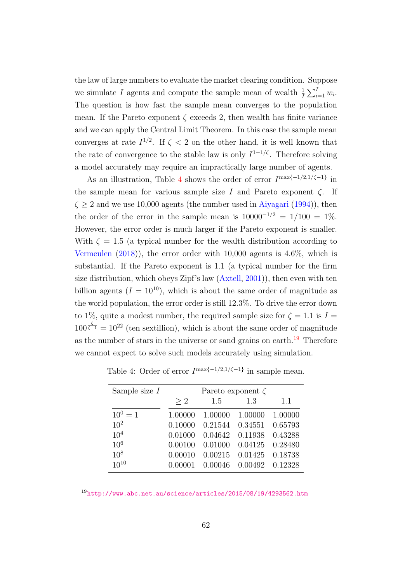the law of large numbers to evaluate the market clearing condition. Suppose we simulate I agents and compute the sample mean of wealth  $\frac{1}{I} \sum_{i=1}^{I} w_i$ . The question is how fast the sample mean converges to the population mean. If the Pareto exponent  $\zeta$  exceeds 2, then wealth has finite variance and we can apply the Central Limit Theorem. In this case the sample mean converges at rate  $I^{1/2}$ . If  $\zeta < 2$  on the other hand, it is well known that the rate of convergence to the stable law is only  $I^{1-1/\zeta}$ . Therefore solving a model accurately may require an impractically large number of agents.

As an illustration, Table [4](#page-15-0) shows the order of error  $I^{\max\{-1/2,1/\zeta-1\}}$  in the sample mean for various sample size I and Pareto exponent  $\zeta$ . If  $\zeta \geq 2$  and we use 10,000 agents (the number used in [Aiyagari](#page--1-16) [\(1994\)](#page--1-16)), then the order of the error in the sample mean is  $10000^{-1/2} = 1/100 = 1\%$ . However, the error order is much larger if the Pareto exponent is smaller. With  $\zeta = 1.5$  (a typical number for the wealth distribution according to [Vermeulen](#page--1-18) [\(2018\)](#page--1-18)), the error order with 10,000 agents is 4.6%, which is substantial. If the Pareto exponent is 1.1 (a typical number for the firm size distribution, which obeys Zipf's law [\(Axtell,](#page--1-19) [2001\)](#page--1-19)), then even with ten billion agents  $(I = 10^{10})$ , which is about the same order of magnitude as the world population, the error order is still 12.3%. To drive the error down to 1%, quite a modest number, the required sample size for  $\zeta = 1.1$  is  $I =$  $100^{\frac{\zeta}{\zeta-1}} = 10^{22}$  (ten sextillion), which is about the same order of magnitude as the number of stars in the universe or sand grains on earth.<sup>[19](#page--1-11)</sup> Therefore we cannot expect to solve such models accurately using simulation.

| Sample size $I$ | Pareto exponent $\zeta$ |         |         |         |
|-----------------|-------------------------|---------|---------|---------|
|                 | >2                      | 1.5     | 1.3     | 1.1     |
| $10^0 = 1$      | 1.00000                 | 1.00000 | 1.00000 | 1.00000 |
| $10^{2}$        | 0.10000                 | 0.21544 | 0.34551 | 0.65793 |
| 10 <sup>4</sup> | 0.01000                 | 0.04642 | 0.11938 | 0.43288 |
| $10^{6}$        | 0.00100                 | 0.01000 | 0.04125 | 0.28480 |
| $10^{8}$        | 0.00010                 | 0.00215 | 0.01425 | 0.18738 |
| $10^{10}$       | 0.00001                 | 0.00046 | 0.00492 | 0.12328 |

<span id="page-15-0"></span>Table 4: Order of error  $I^{\max\{-1/2,1/\zeta-1\}}$  in sample mean.

 $\frac{19}{19}$ <http://www.abc.net.au/science/articles/2015/08/19/4293562.htm>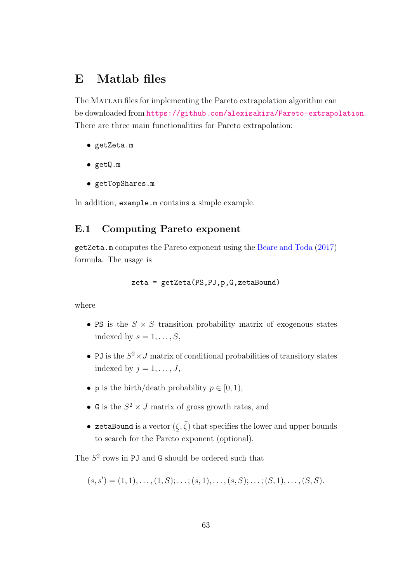### E Matlab files

The MATLAB files for implementing the Pareto extrapolation algorithm can be downloaded from <https://github.com/alexisakira/Pareto-extrapolation>. There are three main functionalities for Pareto extrapolation:

- getZeta.m
- getQ.m
- getTopShares.m

In addition, example.m contains a simple example.

#### E.1 Computing Pareto exponent

getZeta.m computes the Pareto exponent using the [Beare and Toda](#page--1-9) [\(2017\)](#page--1-9) formula. The usage is

zeta = getZeta(PS,PJ,p,G,zetaBound)

where

- PS is the  $S \times S$  transition probability matrix of exogenous states indexed by  $s = 1, \ldots, S$ ,
- PJ is the  $S^2 \times J$  matrix of conditional probabilities of transitory states indexed by  $j = 1, \ldots, J$ ,
- **p** is the birth/death probability  $p \in [0, 1)$ ,
- G is the  $S^2 \times J$  matrix of gross growth rates, and
- zetaBound is a vector  $(\zeta, \bar{\zeta})$  that specifies the lower and upper bounds to search for the Pareto exponent (optional).

The  $S<sup>2</sup>$  rows in PJ and G should be ordered such that

$$
(s, s') = (1, 1), \ldots, (1, S); \ldots; (s, 1), \ldots, (s, S); \ldots; (S, 1), \ldots, (S, S).
$$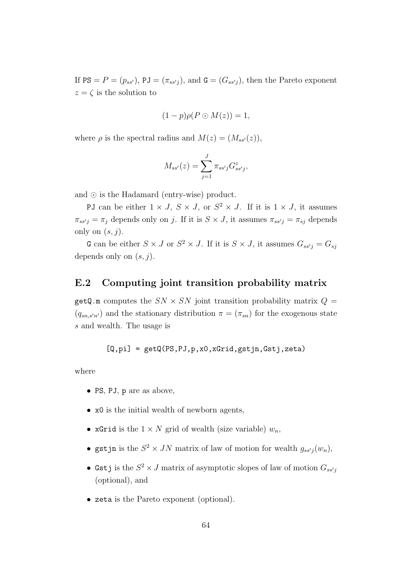If  $PS = P = (p_{ss}),$   $PJ = (\pi_{ss'j}),$  and  $G = (G_{ss'j}),$  then the Pareto exponent  $z = \zeta$  is the solution to

$$
(1-p)\rho(P\odot M(z))=1,
$$

where  $\rho$  is the spectral radius and  $M(z) = (M_{ss'}(z)),$ 

$$
M_{ss'}(z) = \sum_{j=1}^{J} \pi_{ss'j} G_{ss'j}^{z},
$$

and  $\odot$  is the Hadamard (entry-wise) product.

PJ can be either  $1 \times J$ ,  $S \times J$ , or  $S^2 \times J$ . If it is  $1 \times J$ , it assumes  $\pi_{ss'j} = \pi_j$  depends only on j. If it is  $S \times J$ , it assumes  $\pi_{ss'j} = \pi_{sj}$  depends only on  $(s, j)$ .

G can be either  $S \times J$  or  $S^2 \times J$ . If it is  $S \times J$ , it assumes  $G_{ss'j} = G_{sj}$ depends only on  $(s, j)$ .

#### E.2 Computing joint transition probability matrix

getQ.m computes the  $SN \times SN$  joint transition probability matrix  $Q =$  $(q_{sn,s'n'})$  and the stationary distribution  $\pi = (\pi_{sn})$  for the exogenous state s and wealth. The usage is

$$
[Q, pi] = getQ(PS, PJ, p, x0, xGrid, gstjn, Gstj, zeta)
$$

where

- PS, PJ, p are as above,
- x0 is the initial wealth of newborn agents,
- xGrid is the  $1 \times N$  grid of wealth (size variable)  $w_n$ ,
- gstjn is the  $S^2 \times JN$  matrix of law of motion for wealth  $g_{ssj}(w_n)$ ,
- Gstj is the  $S^2 \times J$  matrix of asymptotic slopes of law of motion  $G_{ss'j}$ (optional), and
- zeta is the Pareto exponent (optional).